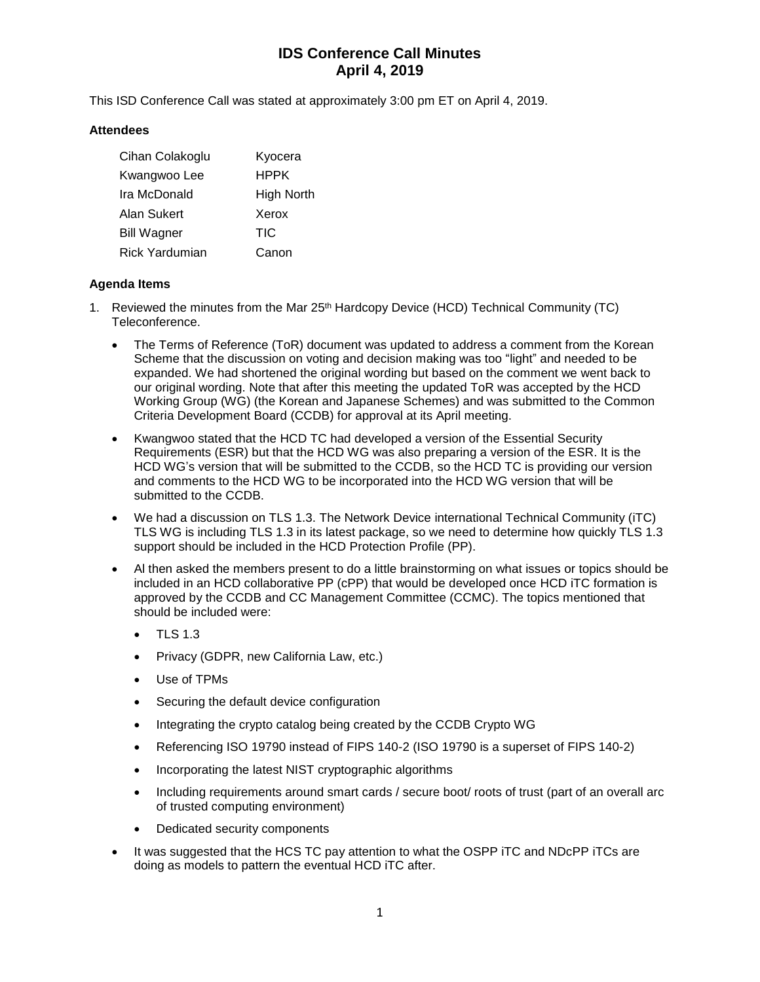# **IDS Conference Call Minutes April 4, 2019**

This ISD Conference Call was stated at approximately 3:00 pm ET on April 4, 2019.

#### **Attendees**

| Cihan Colakoglu       | Kyocera     |
|-----------------------|-------------|
| Kwangwoo Lee          | <b>HPPK</b> |
| Ira McDonald          | High North  |
| Alan Sukert           | Xerox       |
| <b>Bill Wagner</b>    | TIC         |
| <b>Rick Yardumian</b> | Canon       |

#### **Agenda Items**

- 1. Reviewed the minutes from the Mar  $25<sup>th</sup>$  Hardcopy Device (HCD) Technical Community (TC) Teleconference.
	- The Terms of Reference (ToR) document was updated to address a comment from the Korean Scheme that the discussion on voting and decision making was too "light" and needed to be expanded. We had shortened the original wording but based on the comment we went back to our original wording. Note that after this meeting the updated ToR was accepted by the HCD Working Group (WG) (the Korean and Japanese Schemes) and was submitted to the Common Criteria Development Board (CCDB) for approval at its April meeting.
	- Kwangwoo stated that the HCD TC had developed a version of the Essential Security Requirements (ESR) but that the HCD WG was also preparing a version of the ESR. It is the HCD WG's version that will be submitted to the CCDB, so the HCD TC is providing our version and comments to the HCD WG to be incorporated into the HCD WG version that will be submitted to the CCDB.
	- We had a discussion on TLS 1.3. The Network Device international Technical Community (iTC) TLS WG is including TLS 1.3 in its latest package, so we need to determine how quickly TLS 1.3 support should be included in the HCD Protection Profile (PP).
	- Al then asked the members present to do a little brainstorming on what issues or topics should be included in an HCD collaborative PP (cPP) that would be developed once HCD iTC formation is approved by the CCDB and CC Management Committee (CCMC). The topics mentioned that should be included were:
		- TLS 1.3
		- Privacy (GDPR, new California Law, etc.)
		- Use of TPMs
		- Securing the default device configuration
		- Integrating the crypto catalog being created by the CCDB Crypto WG
		- Referencing ISO 19790 instead of FIPS 140-2 (ISO 19790 is a superset of FIPS 140-2)
		- Incorporating the latest NIST cryptographic algorithms
		- Including requirements around smart cards / secure boot/ roots of trust (part of an overall arc of trusted computing environment)
		- Dedicated security components
	- It was suggested that the HCS TC pay attention to what the OSPP iTC and NDcPP iTCs are doing as models to pattern the eventual HCD iTC after.